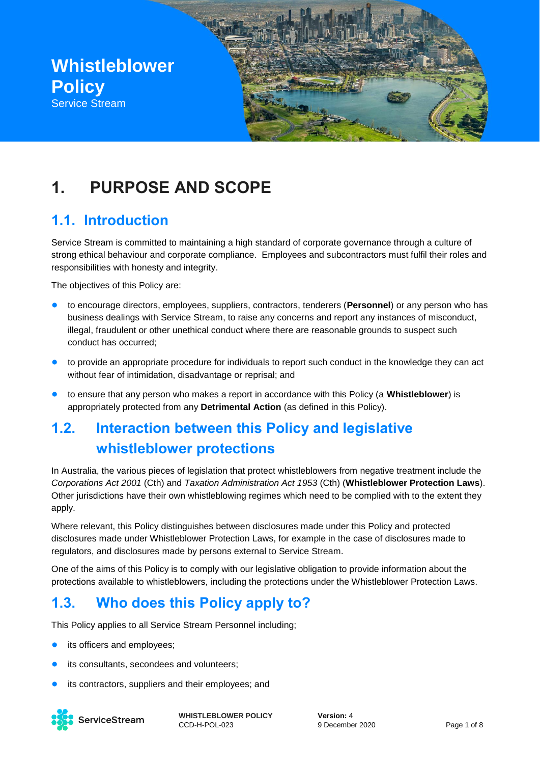

# **1. PURPOSE AND SCOPE**

### **1.1. Introduction**

Service Stream is committed to maintaining a high standard of corporate governance through a culture of strong ethical behaviour and corporate compliance. Employees and subcontractors must fulfil their roles and responsibilities with honesty and integrity.

The objectives of this Policy are:

- to encourage directors, employees, suppliers, contractors, tenderers (**Personnel**) or any person who has business dealings with Service Stream, to raise any concerns and report any instances of misconduct, illegal, fraudulent or other unethical conduct where there are reasonable grounds to suspect such conduct has occurred;
- to provide an appropriate procedure for individuals to report such conduct in the knowledge they can act without fear of intimidation, disadvantage or reprisal; and
- to ensure that any person who makes a report in accordance with this Policy (a **Whistleblower**) is appropriately protected from any **Detrimental Action** (as defined in this Policy).

## **1.2. Interaction between this Policy and legislative whistleblower protections**

In Australia, the various pieces of legislation that protect whistleblowers from negative treatment include the *Corporations Act 2001* (Cth) and *Taxation Administration Act 1953* (Cth) (**Whistleblower Protection Laws**). Other jurisdictions have their own whistleblowing regimes which need to be complied with to the extent they apply.

Where relevant, this Policy distinguishes between disclosures made under this Policy and protected disclosures made under Whistleblower Protection Laws, for example in the case of disclosures made to regulators, and disclosures made by persons external to Service Stream.

One of the aims of this Policy is to comply with our legislative obligation to provide information about the protections available to whistleblowers, including the protections under the Whistleblower Protection Laws.

### **1.3. Who does this Policy apply to?**

This Policy applies to all Service Stream Personnel including;

- its officers and employees;
- its consultants, secondees and volunteers;
- its contractors, suppliers and their employees; and

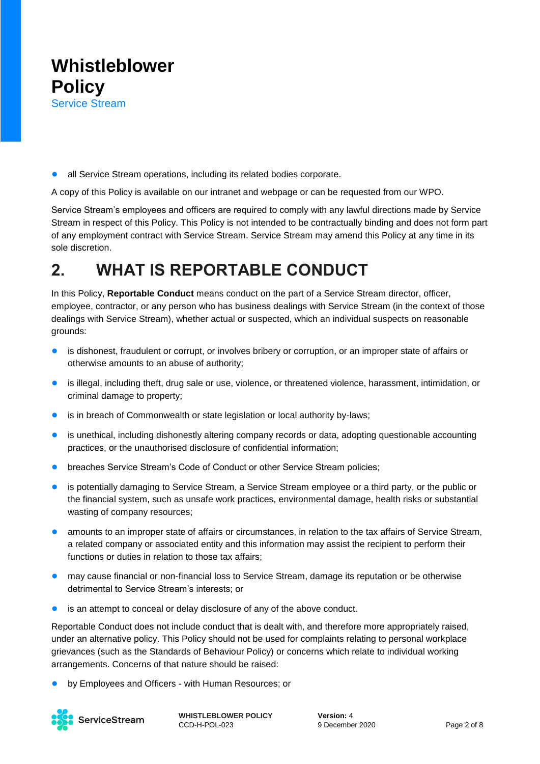● all Service Stream operations, including its related bodies corporate.

A copy of this Policy is available on our intranet and webpage or can be requested from our WPO.

Service Stream's employees and officers are required to comply with any lawful directions made by Service Stream in respect of this Policy. This Policy is not intended to be contractually binding and does not form part of any employment contract with Service Stream. Service Stream may amend this Policy at any time in its sole discretion.

## **2. WHAT IS REPORTABLE CONDUCT**

In this Policy, **Reportable Conduct** means conduct on the part of a Service Stream director, officer, employee, contractor, or any person who has business dealings with Service Stream (in the context of those dealings with Service Stream), whether actual or suspected, which an individual suspects on reasonable grounds:

- is dishonest, fraudulent or corrupt, or involves bribery or corruption, or an improper state of affairs or otherwise amounts to an abuse of authority;
- is illegal, including theft, drug sale or use, violence, or threatened violence, harassment, intimidation, or criminal damage to property;
- is in breach of Commonwealth or state legislation or local authority by-laws;
- is unethical, including dishonestly altering company records or data, adopting questionable accounting practices, or the unauthorised disclosure of confidential information;
- breaches Service Stream's Code of Conduct or other Service Stream policies;
- is potentially damaging to Service Stream, a Service Stream employee or a third party, or the public or the financial system, such as unsafe work practices, environmental damage, health risks or substantial wasting of company resources;
- amounts to an improper state of affairs or circumstances, in relation to the tax affairs of Service Stream, a related company or associated entity and this information may assist the recipient to perform their functions or duties in relation to those tax affairs;
- may cause financial or non-financial loss to Service Stream, damage its reputation or be otherwise detrimental to Service Stream's interests; or
- is an attempt to conceal or delay disclosure of any of the above conduct.

Reportable Conduct does not include conduct that is dealt with, and therefore more appropriately raised, under an alternative policy. This Policy should not be used for complaints relating to personal workplace grievances (such as the Standards of Behaviour Policy) or concerns which relate to individual working arrangements. Concerns of that nature should be raised:

by Employees and Officers - with Human Resources; or

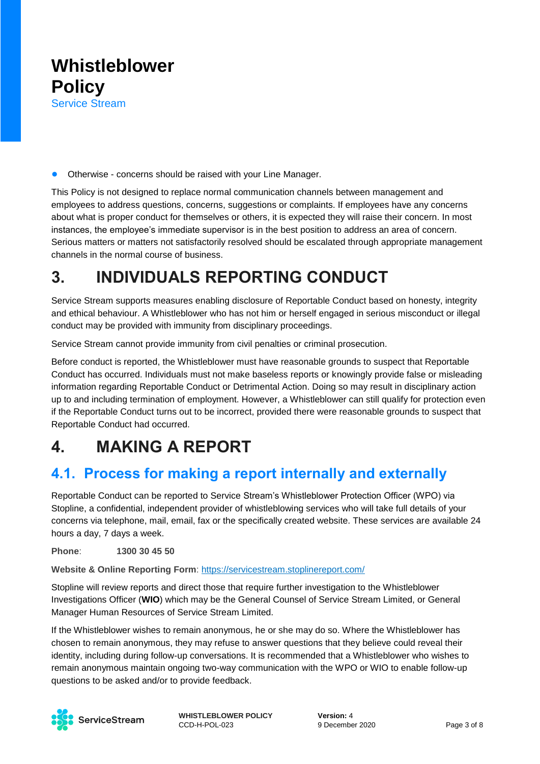

● Otherwise - concerns should be raised with your Line Manager.

This Policy is not designed to replace normal communication channels between management and employees to address questions, concerns, suggestions or complaints. If employees have any concerns about what is proper conduct for themselves or others, it is expected they will raise their concern. In most instances, the employee's immediate supervisor is in the best position to address an area of concern. Serious matters or matters not satisfactorily resolved should be escalated through appropriate management channels in the normal course of business.

## **3. INDIVIDUALS REPORTING CONDUCT**

Service Stream supports measures enabling disclosure of Reportable Conduct based on honesty, integrity and ethical behaviour. A Whistleblower who has not him or herself engaged in serious misconduct or illegal conduct may be provided with immunity from disciplinary proceedings.

Service Stream cannot provide immunity from civil penalties or criminal prosecution.

Before conduct is reported, the Whistleblower must have reasonable grounds to suspect that Reportable Conduct has occurred. Individuals must not make baseless reports or knowingly provide false or misleading information regarding Reportable Conduct or Detrimental Action. Doing so may result in disciplinary action up to and including termination of employment. However, a Whistleblower can still qualify for protection even if the Reportable Conduct turns out to be incorrect, provided there were reasonable grounds to suspect that Reportable Conduct had occurred.

## <span id="page-2-0"></span>**4. MAKING A REPORT**

### **4.1. Process for making a report internally and externally**

Reportable Conduct can be reported to Service Stream's Whistleblower Protection Officer (WPO) via Stopline, a confidential, independent provider of whistleblowing services who will take full details of your concerns via telephone, mail, email, fax or the specifically created website. These services are available 24 hours a day, 7 days a week.

**Phone**: **1300 30 45 50**

**Website & Online Reporting Form**: [https://servicestream.stoplinereport.com/](https://protect-au.mimecast.com/s/04xYCxnMZ6C1NwmBU8Z_IO?domain=servicestream.stoplinereport.com)

Stopline will review reports and direct those that require further investigation to the Whistleblower Investigations Officer (**WIO**) which may be the General Counsel of Service Stream Limited, or General Manager Human Resources of Service Stream Limited.

If the Whistleblower wishes to remain anonymous, he or she may do so. Where the Whistleblower has chosen to remain anonymous, they may refuse to answer questions that they believe could reveal their identity, including during follow-up conversations. It is recommended that a Whistleblower who wishes to remain anonymous maintain ongoing two-way communication with the WPO or WIO to enable follow-up questions to be asked and/or to provide feedback.

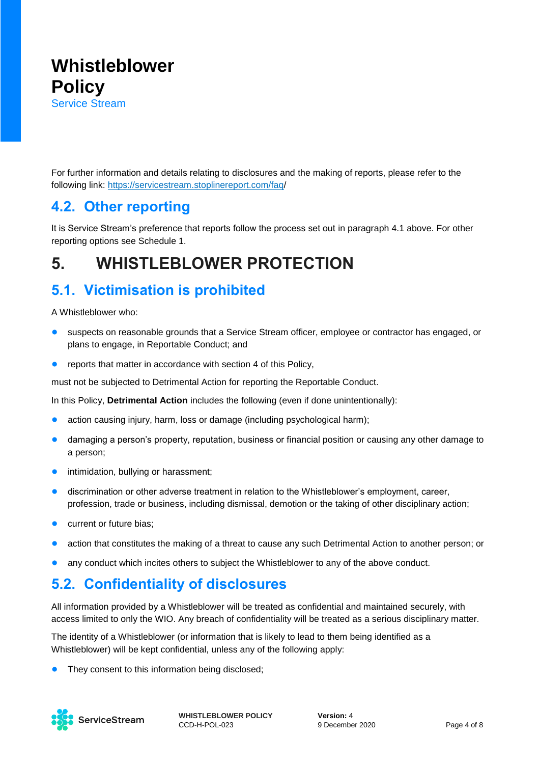For further information and details relating to disclosures and the making of reports, please refer to the following link:<https://servicestream.stoplinereport.com/faq/>

#### **4.2. Other reporting**

It is Service Stream's preference that reports follow the process set out in paragraph 4.1 above. For other reporting options see Schedule 1.

## **5. WHISTLEBLOWER PROTECTION**

### **5.1. Victimisation is prohibited**

A Whistleblower who:

- suspects on reasonable grounds that a Service Stream officer, employee or contractor has engaged, or plans to engage, in Reportable Conduct; and
- reports that matter in accordance with section [4](#page-2-0) of this Policy.

must not be subjected to Detrimental Action for reporting the Reportable Conduct.

In this Policy, **Detrimental Action** includes the following (even if done unintentionally):

- action causing injury, harm, loss or damage (including psychological harm);
- damaging a person's property, reputation, business or financial position or causing any other damage to a person;
- **•** intimidation, bullying or harassment;
- discrimination or other adverse treatment in relation to the Whistleblower's employment, career, profession, trade or business, including dismissal, demotion or the taking of other disciplinary action;
- current or future bias;
- action that constitutes the making of a threat to cause any such Detrimental Action to another person; or
- any conduct which incites others to subject the Whistleblower to any of the above conduct.

### **5.2. Confidentiality of disclosures**

All information provided by a Whistleblower will be treated as confidential and maintained securely, with access limited to only the WIO. Any breach of confidentiality will be treated as a serious disciplinary matter.

The identity of a Whistleblower (or information that is likely to lead to them being identified as a Whistleblower) will be kept confidential, unless any of the following apply:

**•** They consent to this information being disclosed;

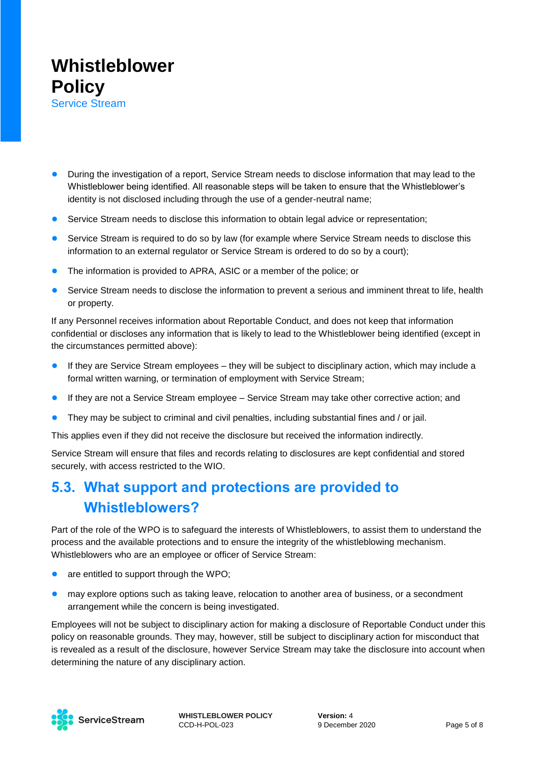

- During the investigation of a report, Service Stream needs to disclose information that may lead to the Whistleblower being identified. All reasonable steps will be taken to ensure that the Whistleblower's identity is not disclosed including through the use of a gender-neutral name;
- Service Stream needs to disclose this information to obtain legal advice or representation;
- Service Stream is required to do so by law (for example where Service Stream needs to disclose this information to an external regulator or Service Stream is ordered to do so by a court);
- The information is provided to APRA, ASIC or a member of the police; or
- Service Stream needs to disclose the information to prevent a serious and imminent threat to life, health or property.

If any Personnel receives information about Reportable Conduct, and does not keep that information confidential or discloses any information that is likely to lead to the Whistleblower being identified (except in the circumstances permitted above):

- If they are Service Stream employees they will be subject to disciplinary action, which may include a formal written warning, or termination of employment with Service Stream;
- If they are not a Service Stream employee Service Stream may take other corrective action; and
- They may be subject to criminal and civil penalties, including substantial fines and / or jail.

This applies even if they did not receive the disclosure but received the information indirectly.

Service Stream will ensure that files and records relating to disclosures are kept confidential and stored securely, with access restricted to the WIO.

### **5.3. What support and protections are provided to Whistleblowers?**

Part of the role of the WPO is to safeguard the interests of Whistleblowers, to assist them to understand the process and the available protections and to ensure the integrity of the whistleblowing mechanism. Whistleblowers who are an employee or officer of Service Stream:

- are entitled to support through the WPO;
- **•** may explore options such as taking leave, relocation to another area of business, or a secondment arrangement while the concern is being investigated.

Employees will not be subject to disciplinary action for making a disclosure of Reportable Conduct under this policy on reasonable grounds. They may, however, still be subject to disciplinary action for misconduct that is revealed as a result of the disclosure, however Service Stream may take the disclosure into account when determining the nature of any disciplinary action.

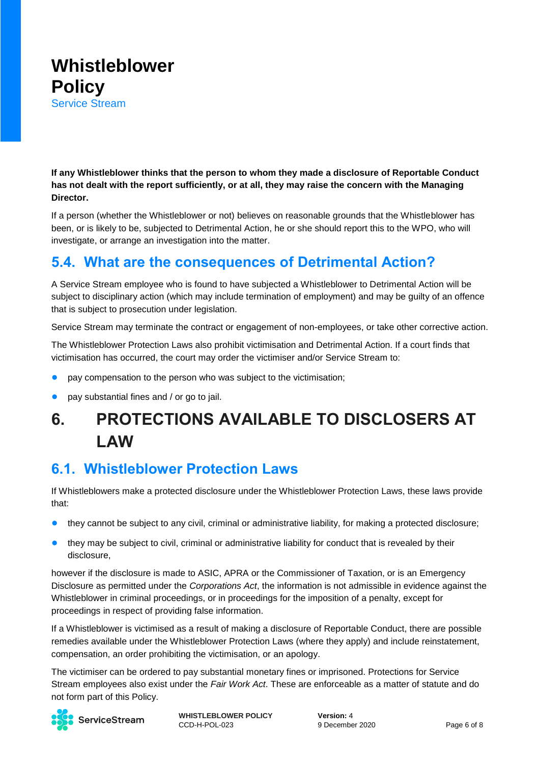

**If any Whistleblower thinks that the person to whom they made a disclosure of Reportable Conduct has not dealt with the report sufficiently, or at all, they may raise the concern with the Managing Director.** 

If a person (whether the Whistleblower or not) believes on reasonable grounds that the Whistleblower has been, or is likely to be, subjected to Detrimental Action, he or she should report this to the WPO, who will investigate, or arrange an investigation into the matter.

### **5.4. What are the consequences of Detrimental Action?**

A Service Stream employee who is found to have subjected a Whistleblower to Detrimental Action will be subject to disciplinary action (which may include termination of employment) and may be guilty of an offence that is subject to prosecution under legislation.

Service Stream may terminate the contract or engagement of non-employees, or take other corrective action.

The Whistleblower Protection Laws also prohibit victimisation and Detrimental Action. If a court finds that victimisation has occurred, the court may order the victimiser and/or Service Stream to:

- pay compensation to the person who was subiect to the victimisation:
- pay substantial fines and / or go to jail.

## **6. PROTECTIONS AVAILABLE TO DISCLOSERS AT LAW**

#### **6.1. Whistleblower Protection Laws**

If Whistleblowers make a protected disclosure under the Whistleblower Protection Laws, these laws provide that:

- they cannot be subject to any civil, criminal or administrative liability, for making a protected disclosure;
- they may be subject to civil, criminal or administrative liability for conduct that is revealed by their disclosure,

however if the disclosure is made to ASIC, APRA or the Commissioner of Taxation, or is an Emergency Disclosure as permitted under the *Corporations Act*, the information is not admissible in evidence against the Whistleblower in criminal proceedings, or in proceedings for the imposition of a penalty, except for proceedings in respect of providing false information.

If a Whistleblower is victimised as a result of making a disclosure of Reportable Conduct, there are possible remedies available under the Whistleblower Protection Laws (where they apply) and include reinstatement, compensation, an order prohibiting the victimisation, or an apology.

The victimiser can be ordered to pay substantial monetary fines or imprisoned. Protections for Service Stream employees also exist under the *Fair Work Act*. These are enforceable as a matter of statute and do not form part of this Policy.



ServiceStream

**WHISTLEBLOWER POLICY** CCD-H-POL-023

**Version:** 4 9 December 2020 Page 6 of 8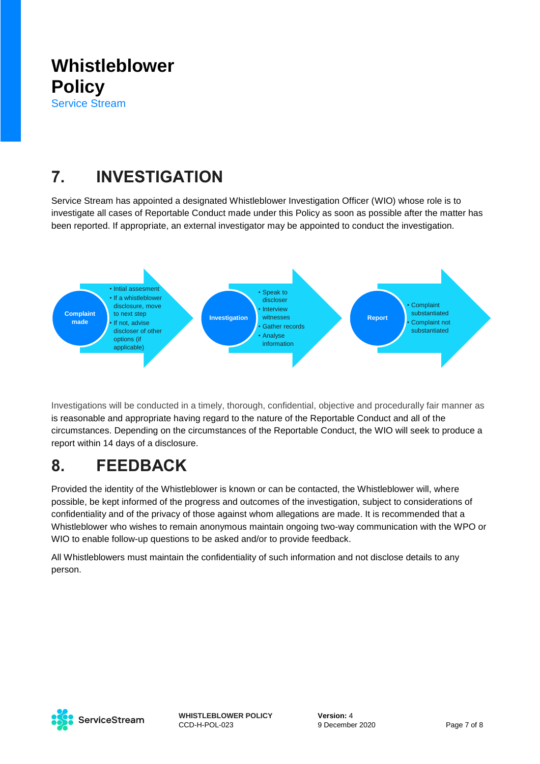## **7. INVESTIGATION**

Service Stream has appointed a designated Whistleblower Investigation Officer (WIO) whose role is to investigate all cases of Reportable Conduct made under this Policy as soon as possible after the matter has been reported. If appropriate, an external investigator may be appointed to conduct the investigation.



Investigations will be conducted in a timely, thorough, confidential, objective and procedurally fair manner as is reasonable and appropriate having regard to the nature of the Reportable Conduct and all of the circumstances. Depending on the circumstances of the Reportable Conduct, the WIO will seek to produce a report within 14 days of a disclosure.

## **8. FEEDBACK**

Provided the identity of the Whistleblower is known or can be contacted, the Whistleblower will, where possible, be kept informed of the progress and outcomes of the investigation, subject to considerations of confidentiality and of the privacy of those against whom allegations are made. It is recommended that a Whistleblower who wishes to remain anonymous maintain ongoing two-way communication with the WPO or WIO to enable follow-up questions to be asked and/or to provide feedback.

All Whistleblowers must maintain the confidentiality of such information and not disclose details to any person.